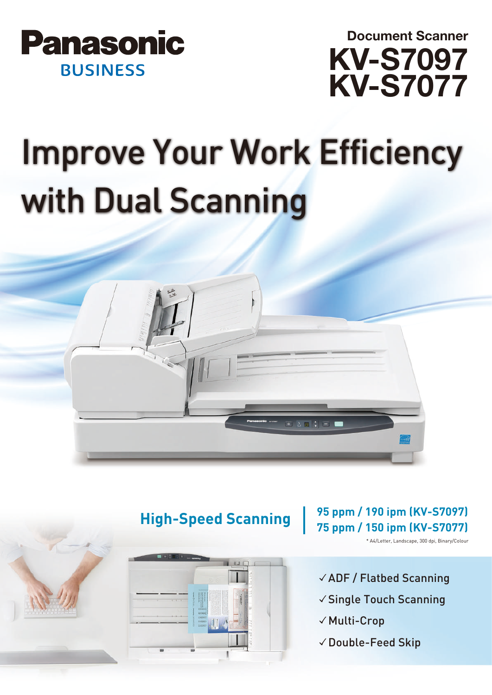



# Improve Your Work Efficiency with Dual Scanning





## **95 ppm / 190 ipm (KV-S7097) 75 ppm / 150 ipm (KV-S7077) High-Speed Scanning**

\* A4/Letter, Landscape, 300 dpi, Binary/Colour

- 㾎ADF / Flatbed Scanning
- 㾎Single Touch Scanning
- √ Multi-Crop
- 㾎Double-Feed Skip